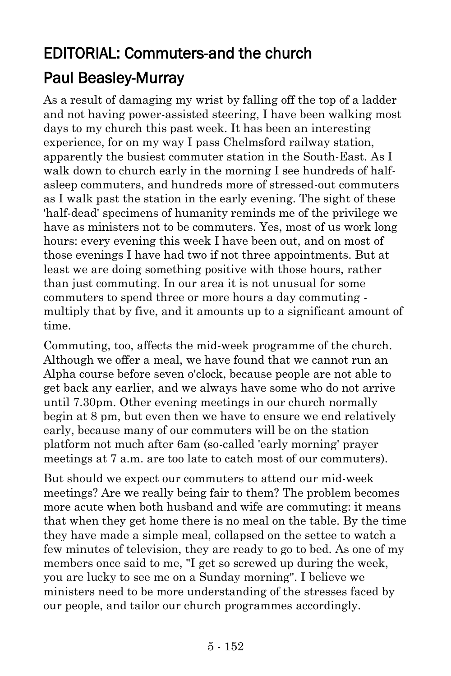## EDITORIAL: Commuters-and the church [Paul Beasley-Murray](https://www.ministrytoday.org.uk/magazine/authors/423/)

As a result of damaging my wrist by falling off the top of a ladder and not having power-assisted steering, I have been walking most days to my church this past week. It has been an interesting experience, for on my way I pass Chelmsford railway station, apparently the busiest commuter station in the South-East. As I walk down to church early in the morning I see hundreds of halfasleep commuters, and hundreds more of stressed-out commuters as I walk past the station in the early evening. The sight of these 'half-dead' specimens of humanity reminds me of the privilege we have as ministers not to be commuters. Yes, most of us work long hours: every evening this week I have been out, and on most of those evenings I have had two if not three appointments. But at least we are doing something positive with those hours, rather than just commuting. In our area it is not unusual for some commuters to spend three or more hours a day commuting multiply that by five, and it amounts up to a significant amount of time.

Commuting, too, affects the mid-week programme of the church. Although we offer a meal, we have found that we cannot run an Alpha course before seven o'clock, because people are not able to get back any earlier, and we always have some who do not arrive until 7.30pm. Other evening meetings in our church normally begin at 8 pm, but even then we have to ensure we end relatively early, because many of our commuters will be on the station platform not much after 6am (so-called 'early morning' prayer meetings at 7 a.m. are too late to catch most of our commuters).

But should we expect our commuters to attend our mid-week meetings? Are we really being fair to them? The problem becomes more acute when both husband and wife are commuting: it means that when they get home there is no meal on the table. By the time they have made a simple meal, collapsed on the settee to watch a few minutes of television, they are ready to go to bed. As one of my members once said to me, "I get so screwed up during the week, you are lucky to see me on a Sunday morning". I believe we ministers need to be more understanding of the stresses faced by our people, and tailor our church programmes accordingly.